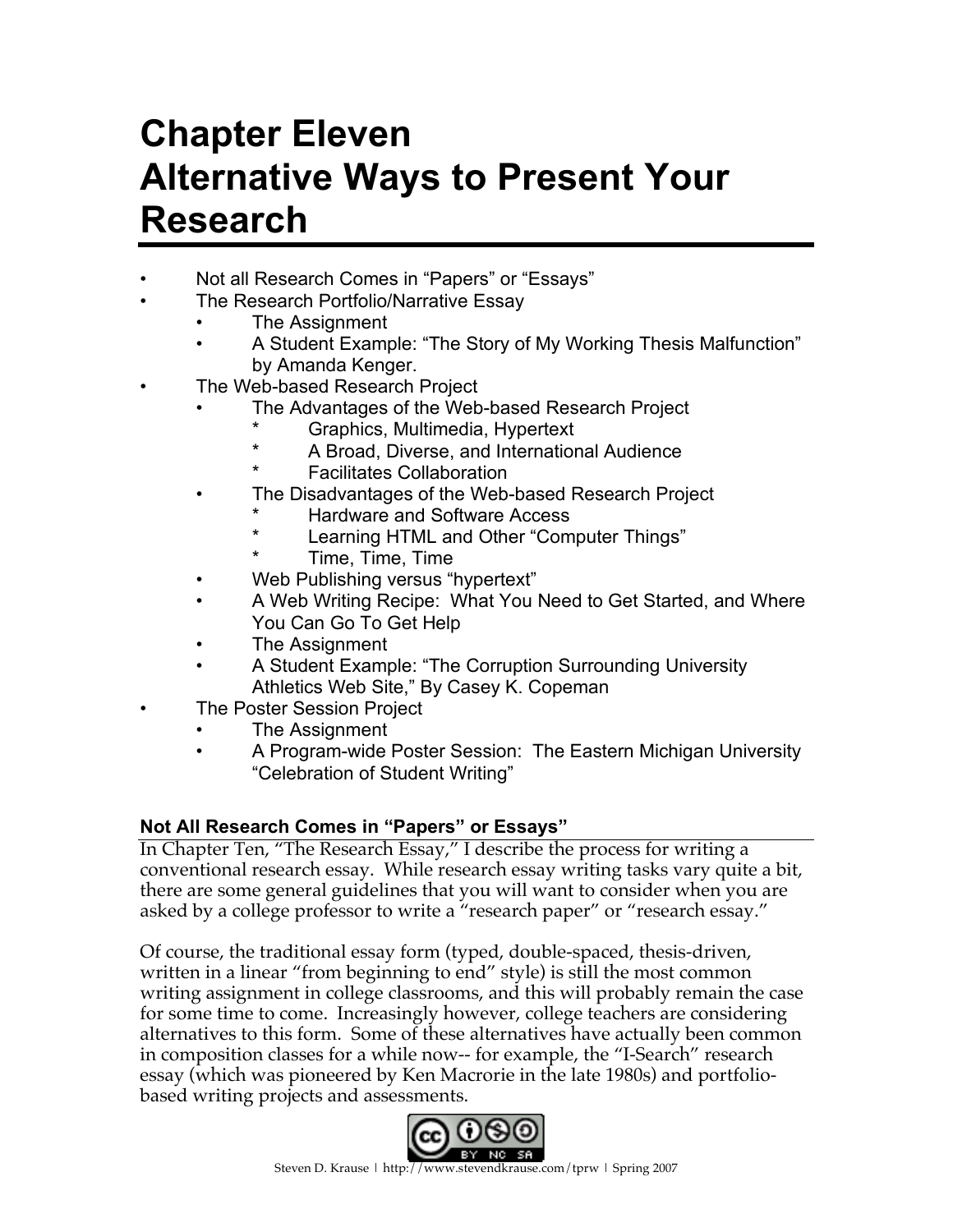# **Chapter Eleven Alternative Ways to Present Your Research**

- Not all Research Comes in "Papers" or "Essays"
	- The Research Portfolio/Narrative Essay
		- The Assignment
		- A Student Example: "The Story of My Working Thesis Malfunction" by Amanda Kenger.
- The Web-based Research Project
	- The Advantages of the Web-based Research Project
		- Graphics, Multimedia, Hypertext
		- A Broad, Diverse, and International Audience
		- **Facilitates Collaboration**
	- The Disadvantages of the Web-based Research Project
		- **Hardware and Software Access**
		- Learning HTML and Other "Computer Things"
		- Time, Time, Time
	- Web Publishing versus "hypertext"
	- A Web Writing Recipe: What You Need to Get Started, and Where You Can Go To Get Help
	- The Assignment
	- A Student Example: "The Corruption Surrounding University Athletics Web Site," By Casey K. Copeman
- The Poster Session Project
	- The Assignment
	- A Program-wide Poster Session: The Eastern Michigan University "Celebration of Student Writing"

## **Not All Research Comes in "Papers" or Essays"**

In Chapter Ten, "The Research Essay," I describe the process for writing a conventional research essay. While research essay writing tasks vary quite a bit, there are some general guidelines that you will want to consider when you are asked by a college professor to write a "research paper" or "research essay."

Of course, the traditional essay form (typed, double-spaced, thesis-driven, written in a linear "from beginning to end" style) is still the most common writing assignment in college classrooms, and this will probably remain the case for some time to come. Increasingly however, college teachers are considering alternatives to this form. Some of these alternatives have actually been common in composition classes for a while now-- for example, the "I-Search" research essay (which was pioneered by Ken Macrorie in the late 1980s) and portfoliobased writing projects and assessments.

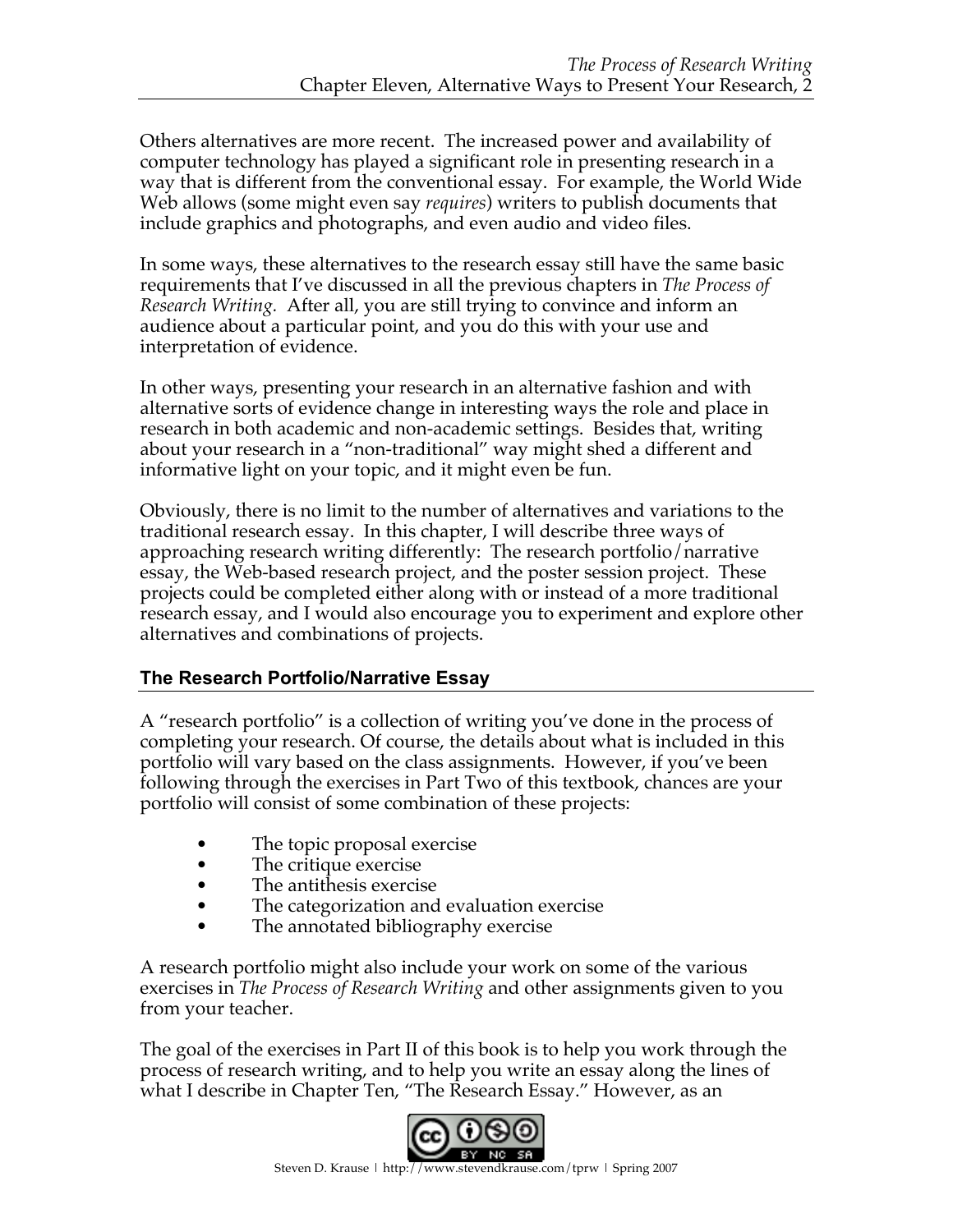Others alternatives are more recent. The increased power and availability of computer technology has played a significant role in presenting research in a way that is different from the conventional essay. For example, the World Wide Web allows (some might even say *requires*) writers to publish documents that include graphics and photographs, and even audio and video files.

In some ways, these alternatives to the research essay still have the same basic requirements that I've discussed in all the previous chapters in *The Process of Research Writing.* After all, you are still trying to convince and inform an audience about a particular point, and you do this with your use and interpretation of evidence.

In other ways, presenting your research in an alternative fashion and with alternative sorts of evidence change in interesting ways the role and place in research in both academic and non-academic settings. Besides that, writing about your research in a "non-traditional" way might shed a different and informative light on your topic, and it might even be fun.

Obviously, there is no limit to the number of alternatives and variations to the traditional research essay. In this chapter, I will describe three ways of approaching research writing differently: The research portfolio/narrative essay, the Web-based research project, and the poster session project. These projects could be completed either along with or instead of a more traditional research essay, and I would also encourage you to experiment and explore other alternatives and combinations of projects.

## **The Research Portfolio/Narrative Essay**

A "research portfolio" is a collection of writing you've done in the process of completing your research. Of course, the details about what is included in this portfolio will vary based on the class assignments. However, if you've been following through the exercises in Part Two of this textbook, chances are your portfolio will consist of some combination of these projects:

- The topic proposal exercise
- The critique exercise
- The antithesis exercise
- The categorization and evaluation exercise
- The annotated bibliography exercise

A research portfolio might also include your work on some of the various exercises in *The Process of Research Writing* and other assignments given to you from your teacher.

The goal of the exercises in Part II of this book is to help you work through the process of research writing, and to help you write an essay along the lines of what I describe in Chapter Ten, "The Research Essay." However, as an

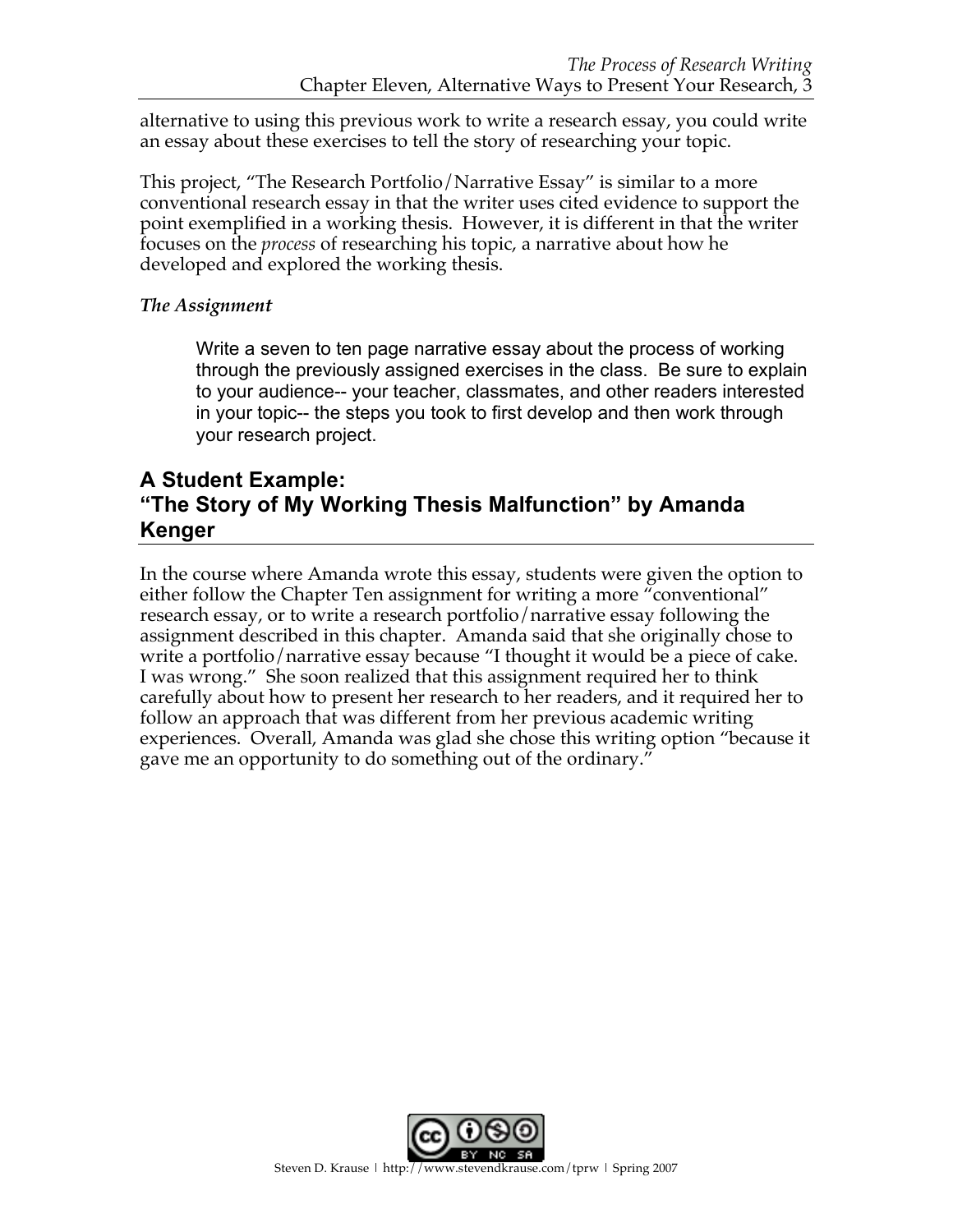alternative to using this previous work to write a research essay, you could write an essay about these exercises to tell the story of researching your topic.

This project, "The Research Portfolio/Narrative Essay" is similar to a more conventional research essay in that the writer uses cited evidence to support the point exemplified in a working thesis. However, it is different in that the writer focuses on the *process* of researching his topic, a narrative about how he developed and explored the working thesis.

## *The Assignment*

Write a seven to ten page narrative essay about the process of working through the previously assigned exercises in the class. Be sure to explain to your audience-- your teacher, classmates, and other readers interested in your topic-- the steps you took to first develop and then work through your research project.

# **A Student Example: "The Story of My Working Thesis Malfunction" by Amanda Kenger**

In the course where Amanda wrote this essay, students were given the option to either follow the Chapter Ten assignment for writing a more "conventional" research essay, or to write a research portfolio/narrative essay following the assignment described in this chapter. Amanda said that she originally chose to write a portfolio/narrative essay because "I thought it would be a piece of cake. I was wrong." She soon realized that this assignment required her to think carefully about how to present her research to her readers, and it required her to follow an approach that was different from her previous academic writing experiences. Overall, Amanda was glad she chose this writing option "because it gave me an opportunity to do something out of the ordinary."

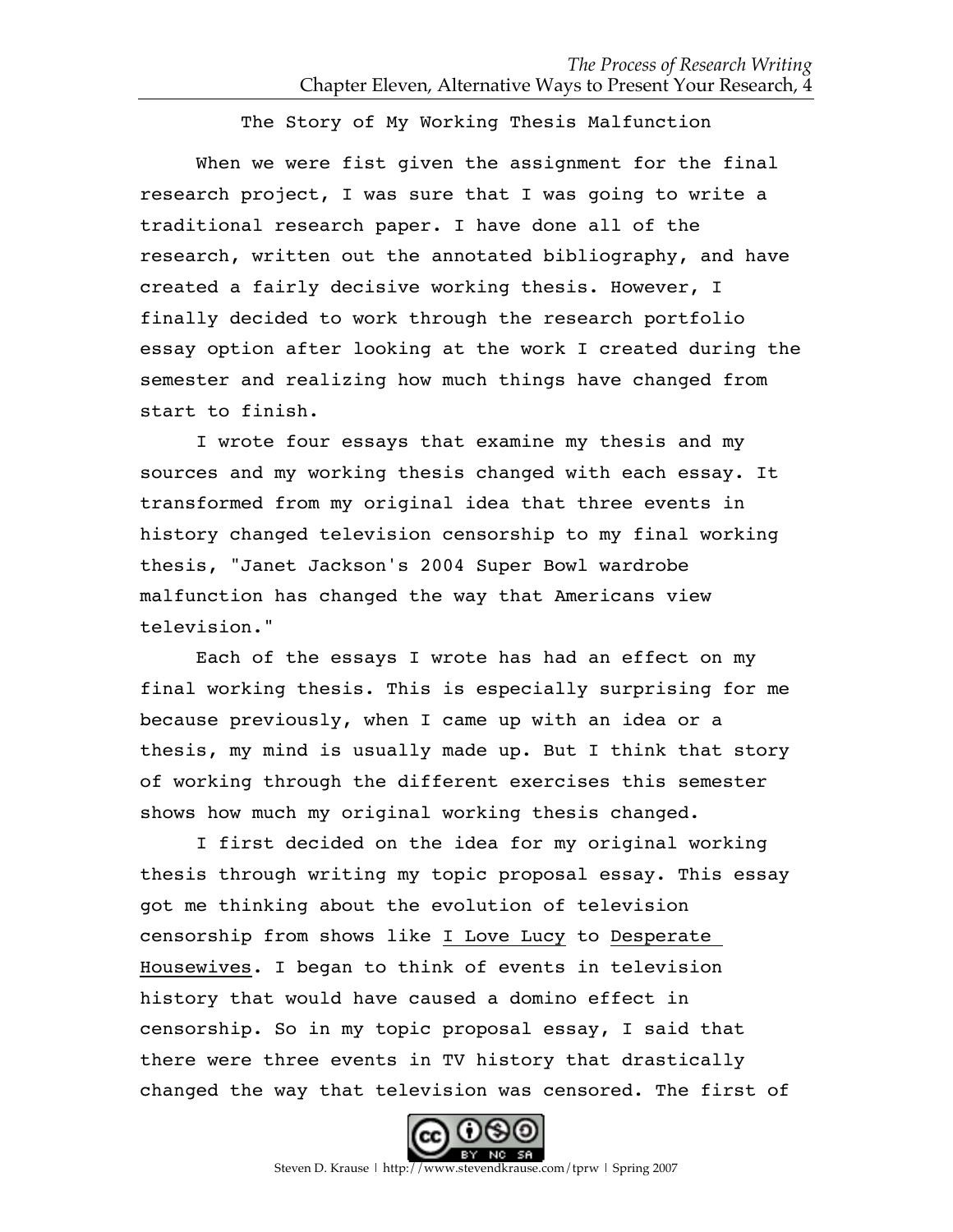The Story of My Working Thesis Malfunction

When we were fist given the assignment for the final research project, I was sure that I was going to write a traditional research paper. I have done all of the research, written out the annotated bibliography, and have created a fairly decisive working thesis. However, I finally decided to work through the research portfolio essay option after looking at the work I created during the semester and realizing how much things have changed from start to finish.

I wrote four essays that examine my thesis and my sources and my working thesis changed with each essay. It transformed from my original idea that three events in history changed television censorship to my final working thesis, "Janet Jackson's 2004 Super Bowl wardrobe malfunction has changed the way that Americans view television."

Each of the essays I wrote has had an effect on my final working thesis. This is especially surprising for me because previously, when I came up with an idea or a thesis, my mind is usually made up. But I think that story of working through the different exercises this semester shows how much my original working thesis changed.

I first decided on the idea for my original working thesis through writing my topic proposal essay. This essay got me thinking about the evolution of television censorship from shows like I Love Lucy to Desperate Housewives. I began to think of events in television history that would have caused a domino effect in censorship. So in my topic proposal essay, I said that there were three events in TV history that drastically changed the way that television was censored. The first of

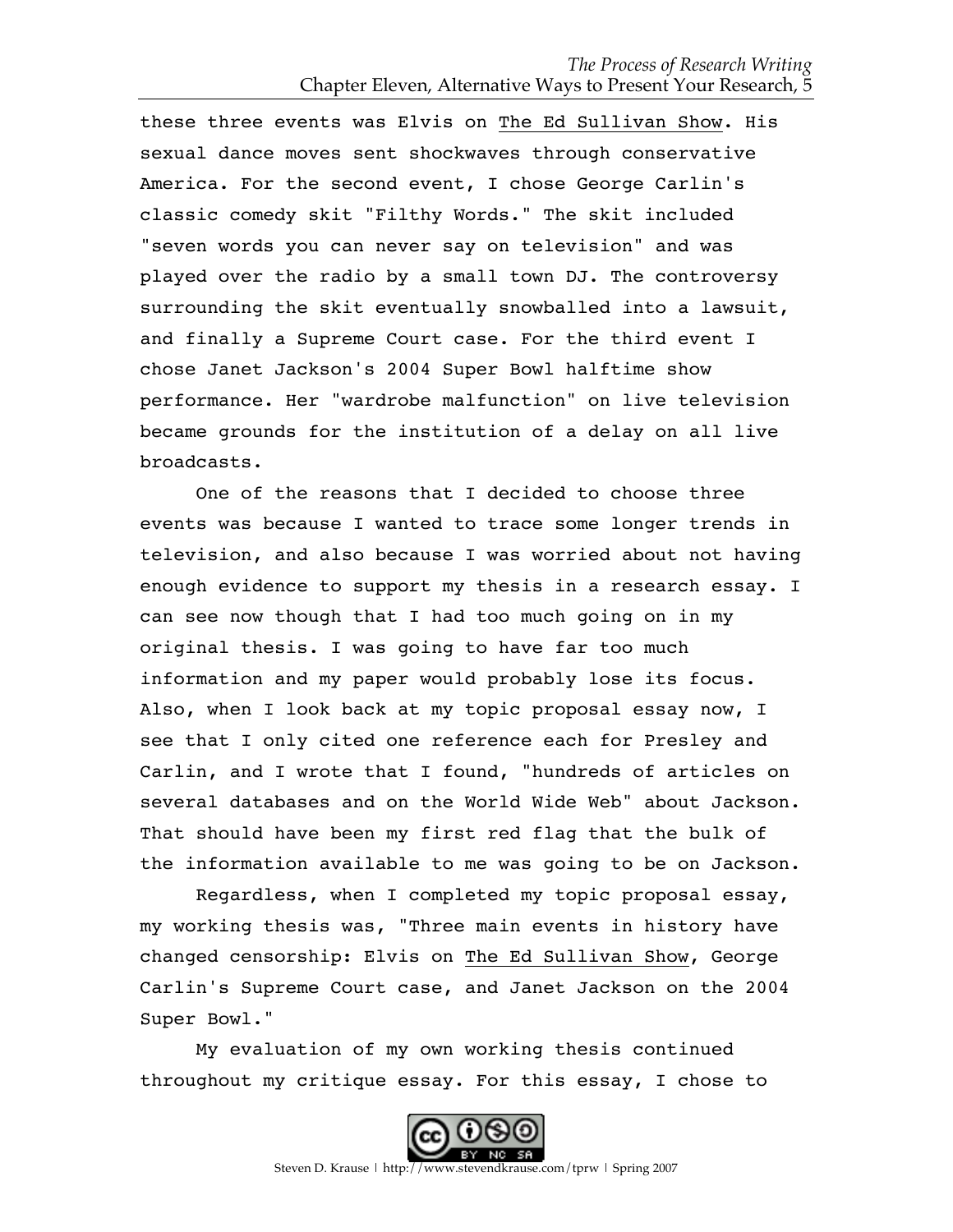these three events was Elvis on The Ed Sullivan Show. His sexual dance moves sent shockwaves through conservative America. For the second event, I chose George Carlin's classic comedy skit "Filthy Words." The skit included "seven words you can never say on television" and was played over the radio by a small town DJ. The controversy surrounding the skit eventually snowballed into a lawsuit, and finally a Supreme Court case. For the third event I chose Janet Jackson's 2004 Super Bowl halftime show performance. Her "wardrobe malfunction" on live television became grounds for the institution of a delay on all live broadcasts.

One of the reasons that I decided to choose three events was because I wanted to trace some longer trends in television, and also because I was worried about not having enough evidence to support my thesis in a research essay. I can see now though that I had too much going on in my original thesis. I was going to have far too much information and my paper would probably lose its focus. Also, when I look back at my topic proposal essay now, I see that I only cited one reference each for Presley and Carlin, and I wrote that I found, "hundreds of articles on several databases and on the World Wide Web" about Jackson. That should have been my first red flag that the bulk of the information available to me was going to be on Jackson.

Regardless, when I completed my topic proposal essay, my working thesis was, "Three main events in history have changed censorship: Elvis on The Ed Sullivan Show, George Carlin's Supreme Court case, and Janet Jackson on the 2004 Super Bowl."

My evaluation of my own working thesis continued throughout my critique essay. For this essay, I chose to

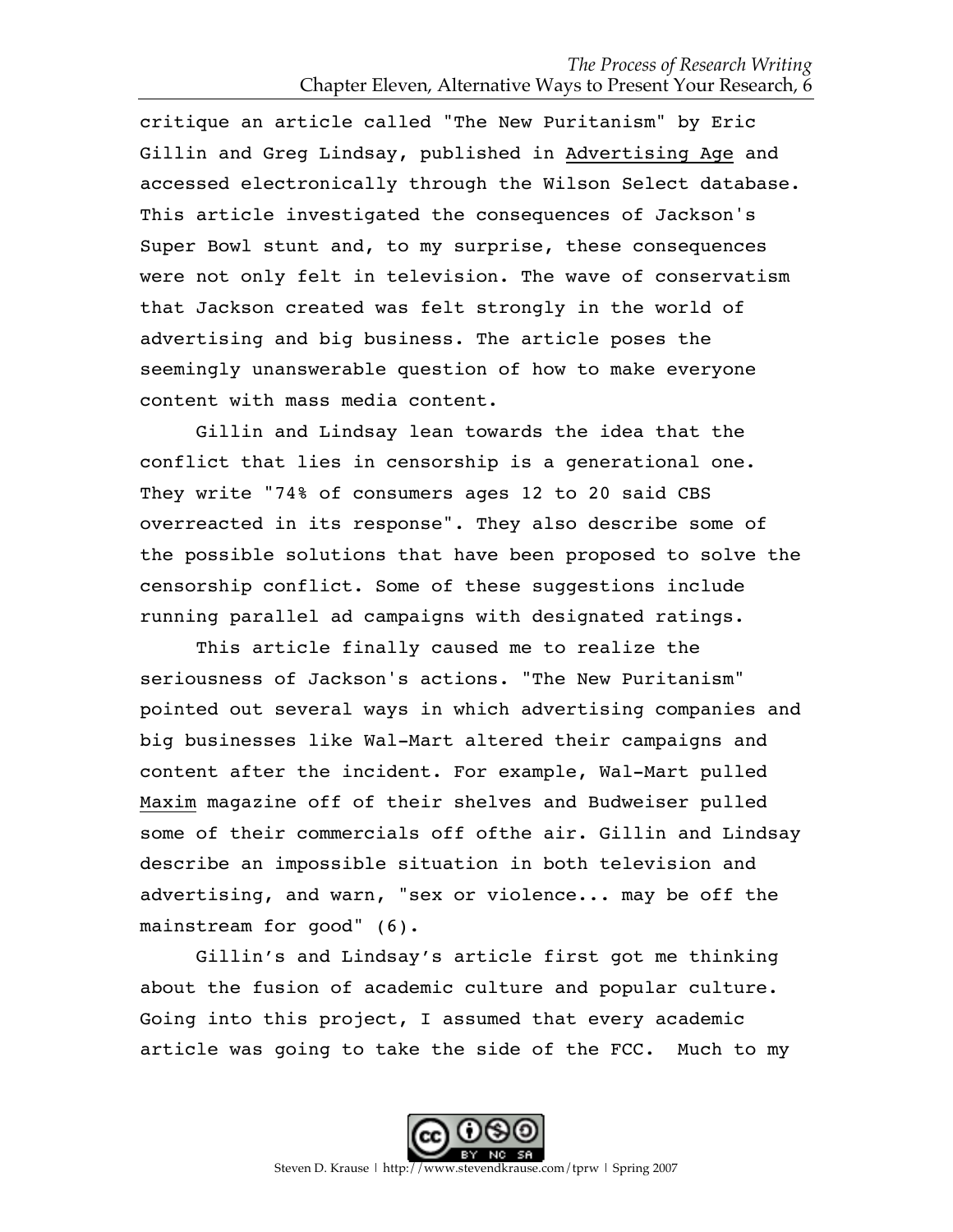critique an article called "The New Puritanism" by Eric Gillin and Greg Lindsay, published in Advertising Age and accessed electronically through the Wilson Select database. This article investigated the consequences of Jackson's Super Bowl stunt and, to my surprise, these consequences were not only felt in television. The wave of conservatism that Jackson created was felt strongly in the world of advertising and big business. The article poses the seemingly unanswerable question of how to make everyone content with mass media content.

Gillin and Lindsay lean towards the idea that the conflict that lies in censorship is a generational one. They write "74% of consumers ages 12 to 20 said CBS overreacted in its response". They also describe some of the possible solutions that have been proposed to solve the censorship conflict. Some of these suggestions include running parallel ad campaigns with designated ratings.

This article finally caused me to realize the seriousness of Jackson's actions. "The New Puritanism" pointed out several ways in which advertising companies and big businesses like Wal-Mart altered their campaigns and content after the incident. For example, Wal-Mart pulled Maxim magazine off of their shelves and Budweiser pulled some of their commercials off ofthe air. Gillin and Lindsay describe an impossible situation in both television and advertising, and warn, "sex or violence... may be off the mainstream for good" (6).

Gillin's and Lindsay's article first got me thinking about the fusion of academic culture and popular culture. Going into this project, I assumed that every academic article was going to take the side of the FCC. Much to my

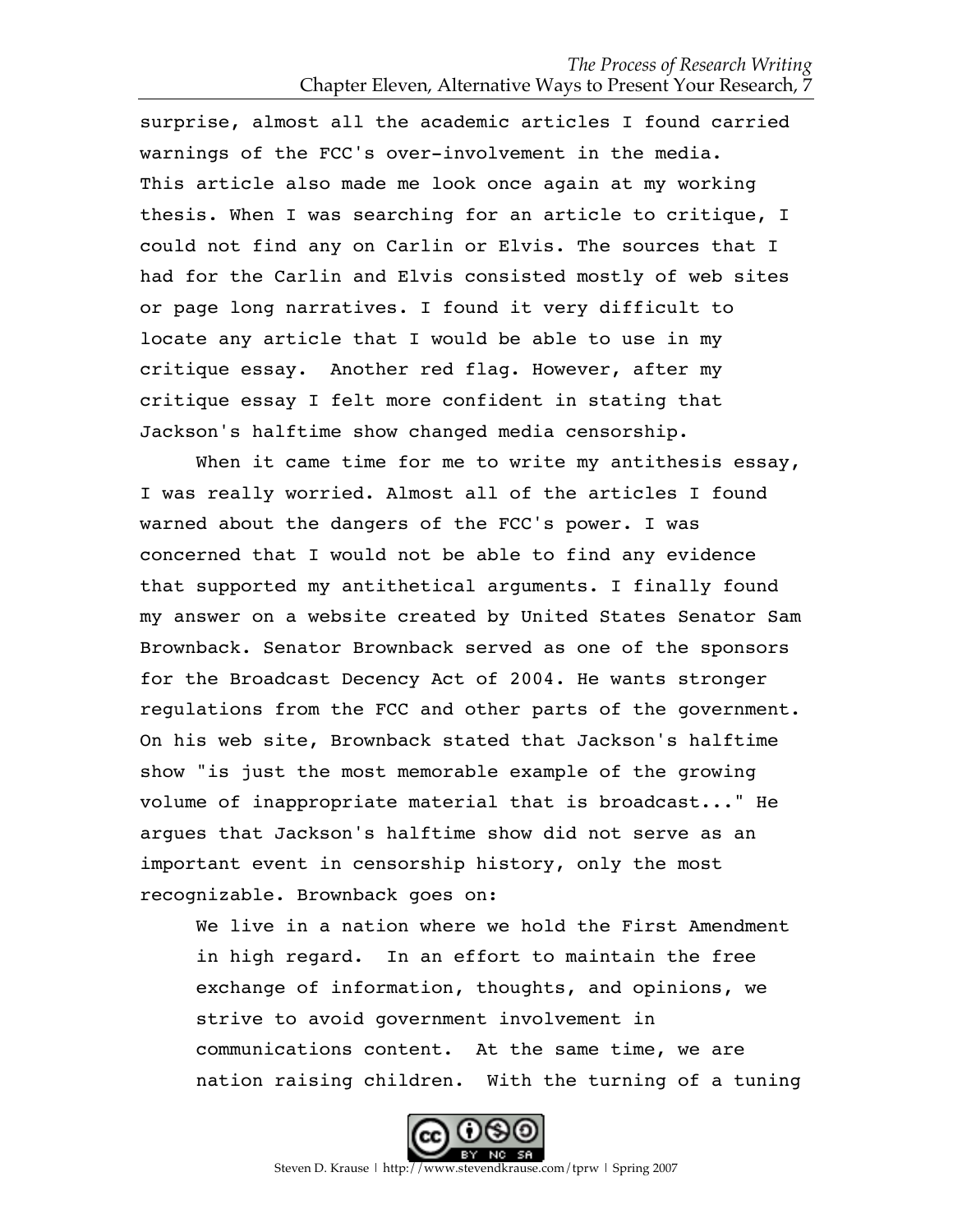surprise, almost all the academic articles I found carried warnings of the FCC's over-involvement in the media. This article also made me look once again at my working thesis. When I was searching for an article to critique, I could not find any on Carlin or Elvis. The sources that I had for the Carlin and Elvis consisted mostly of web sites or page long narratives. I found it very difficult to locate any article that I would be able to use in my critique essay. Another red flag. However, after my critique essay I felt more confident in stating that Jackson's halftime show changed media censorship.

When it came time for me to write my antithesis essay, I was really worried. Almost all of the articles I found warned about the dangers of the FCC's power. I was concerned that I would not be able to find any evidence that supported my antithetical arguments. I finally found my answer on a website created by United States Senator Sam Brownback. Senator Brownback served as one of the sponsors for the Broadcast Decency Act of 2004. He wants stronger regulations from the FCC and other parts of the government. On his web site, Brownback stated that Jackson's halftime show "is just the most memorable example of the growing volume of inappropriate material that is broadcast..." He argues that Jackson's halftime show did not serve as an important event in censorship history, only the most recognizable. Brownback goes on:

We live in a nation where we hold the First Amendment in high regard. In an effort to maintain the free exchange of information, thoughts, and opinions, we strive to avoid government involvement in communications content. At the same time, we are nation raising children. With the turning of a tuning

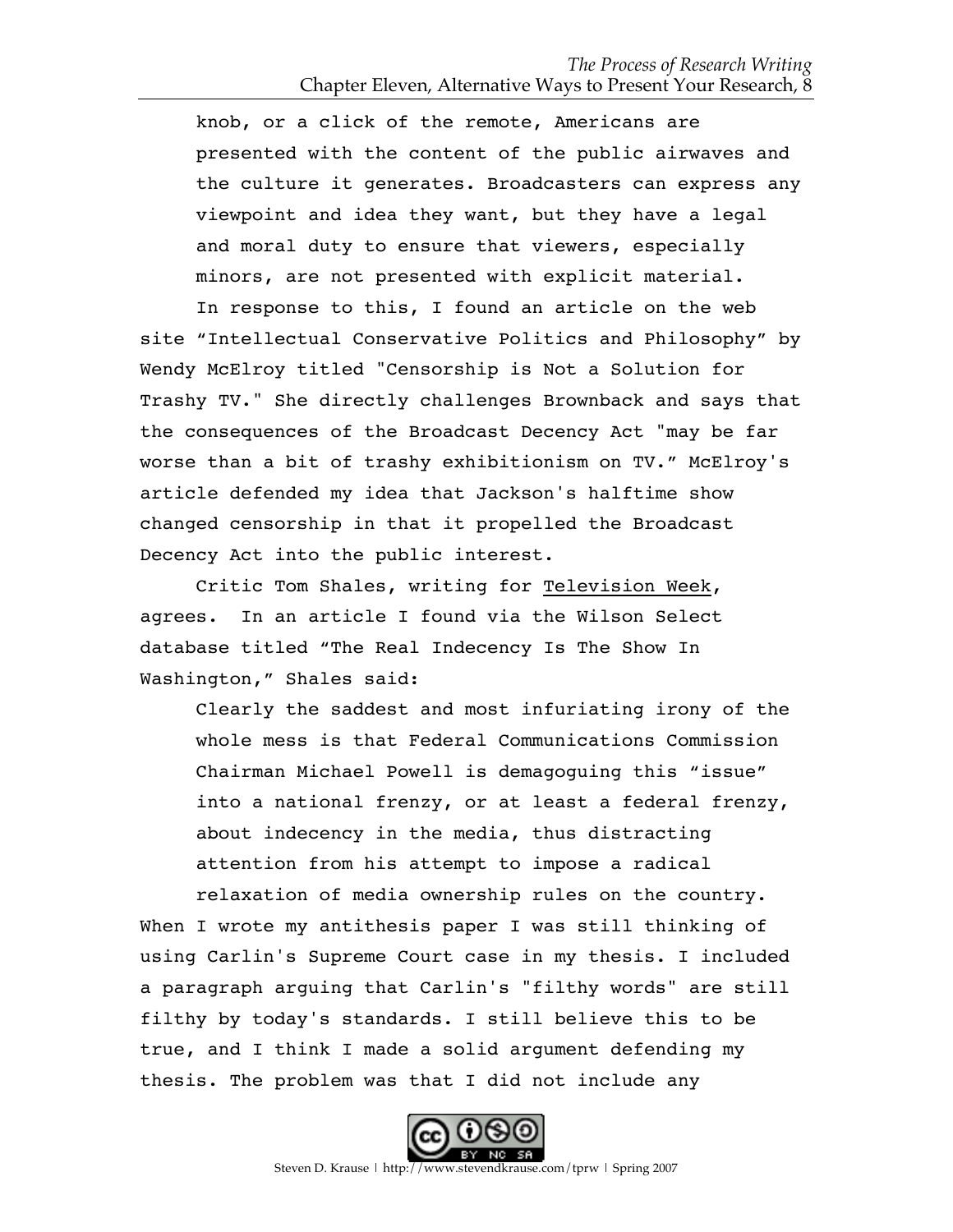knob, or a click of the remote, Americans are presented with the content of the public airwaves and the culture it generates. Broadcasters can express any viewpoint and idea they want, but they have a legal and moral duty to ensure that viewers, especially minors, are not presented with explicit material.

In response to this, I found an article on the web site "Intellectual Conservative Politics and Philosophy" by Wendy McElroy titled "Censorship is Not a Solution for Trashy TV." She directly challenges Brownback and says that the consequences of the Broadcast Decency Act "may be far worse than a bit of trashy exhibitionism on TV." McElroy's article defended my idea that Jackson's halftime show changed censorship in that it propelled the Broadcast Decency Act into the public interest.

Critic Tom Shales, writing for Television Week, agrees. In an article I found via the Wilson Select database titled "The Real Indecency Is The Show In Washington," Shales said:

Clearly the saddest and most infuriating irony of the whole mess is that Federal Communications Commission Chairman Michael Powell is demagoguing this "issue" into a national frenzy, or at least a federal frenzy, about indecency in the media, thus distracting attention from his attempt to impose a radical relaxation of media ownership rules on the country.

When I wrote my antithesis paper I was still thinking of using Carlin's Supreme Court case in my thesis. I included a paragraph arguing that Carlin's "filthy words" are still filthy by today's standards. I still believe this to be true, and I think I made a solid argument defending my thesis. The problem was that I did not include any

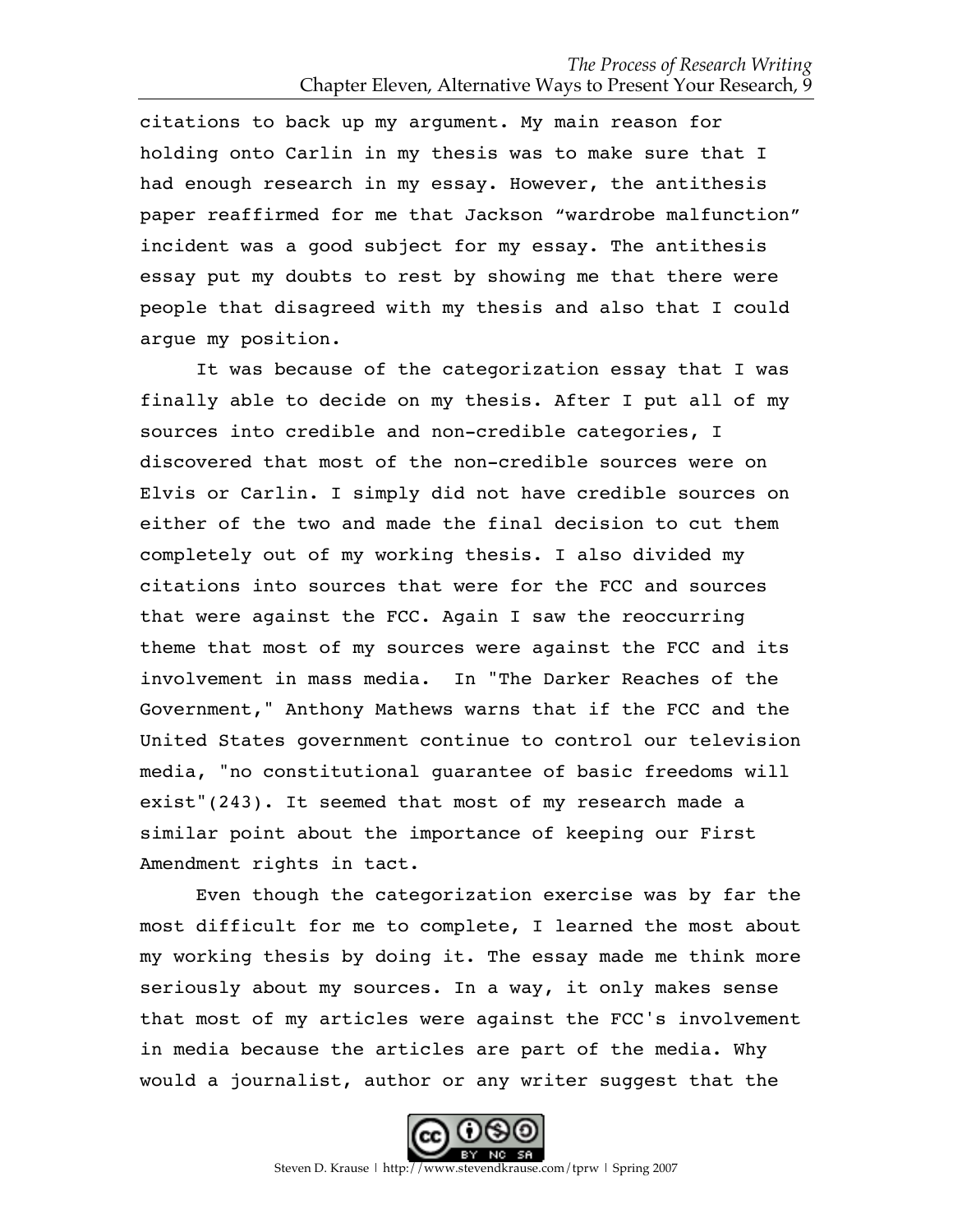citations to back up my argument. My main reason for holding onto Carlin in my thesis was to make sure that I had enough research in my essay. However, the antithesis paper reaffirmed for me that Jackson "wardrobe malfunction" incident was a good subject for my essay. The antithesis essay put my doubts to rest by showing me that there were people that disagreed with my thesis and also that I could argue my position.

It was because of the categorization essay that I was finally able to decide on my thesis. After I put all of my sources into credible and non-credible categories, I discovered that most of the non-credible sources were on Elvis or Carlin. I simply did not have credible sources on either of the two and made the final decision to cut them completely out of my working thesis. I also divided my citations into sources that were for the FCC and sources that were against the FCC. Again I saw the reoccurring theme that most of my sources were against the FCC and its involvement in mass media. In "The Darker Reaches of the Government," Anthony Mathews warns that if the FCC and the United States government continue to control our television media, "no constitutional guarantee of basic freedoms will exist"(243). It seemed that most of my research made a similar point about the importance of keeping our First Amendment rights in tact.

Even though the categorization exercise was by far the most difficult for me to complete, I learned the most about my working thesis by doing it. The essay made me think more seriously about my sources. In a way, it only makes sense that most of my articles were against the FCC's involvement in media because the articles are part of the media. Why would a journalist, author or any writer suggest that the

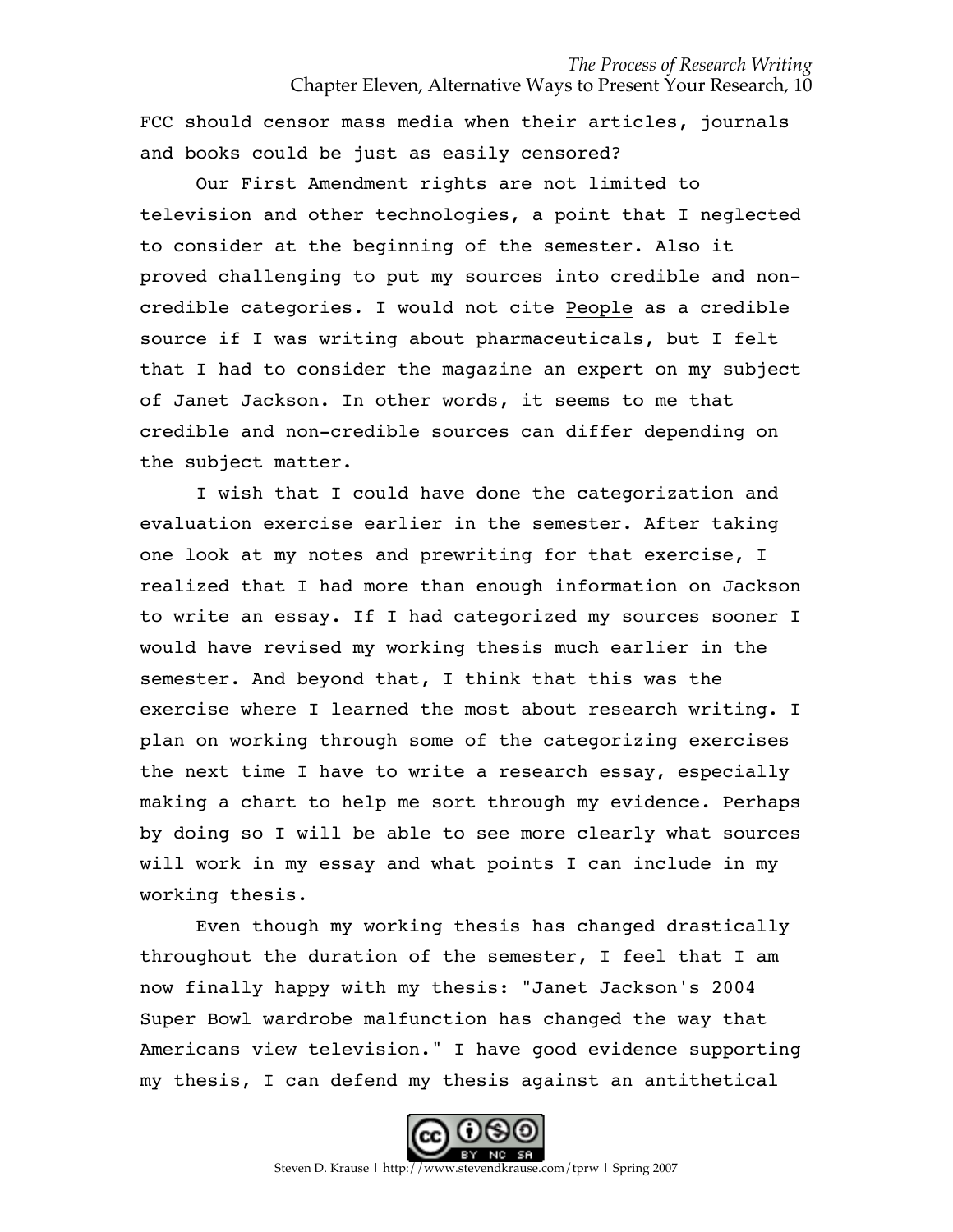FCC should censor mass media when their articles, journals and books could be just as easily censored?

Our First Amendment rights are not limited to television and other technologies, a point that I neglected to consider at the beginning of the semester. Also it proved challenging to put my sources into credible and noncredible categories. I would not cite People as a credible source if I was writing about pharmaceuticals, but I felt that I had to consider the magazine an expert on my subject of Janet Jackson. In other words, it seems to me that credible and non-credible sources can differ depending on the subject matter.

I wish that I could have done the categorization and evaluation exercise earlier in the semester. After taking one look at my notes and prewriting for that exercise, I realized that I had more than enough information on Jackson to write an essay. If I had categorized my sources sooner I would have revised my working thesis much earlier in the semester. And beyond that, I think that this was the exercise where I learned the most about research writing. I plan on working through some of the categorizing exercises the next time I have to write a research essay, especially making a chart to help me sort through my evidence. Perhaps by doing so I will be able to see more clearly what sources will work in my essay and what points I can include in my working thesis.

Even though my working thesis has changed drastically throughout the duration of the semester, I feel that I am now finally happy with my thesis: "Janet Jackson's 2004 Super Bowl wardrobe malfunction has changed the way that Americans view television." I have good evidence supporting my thesis, I can defend my thesis against an antithetical

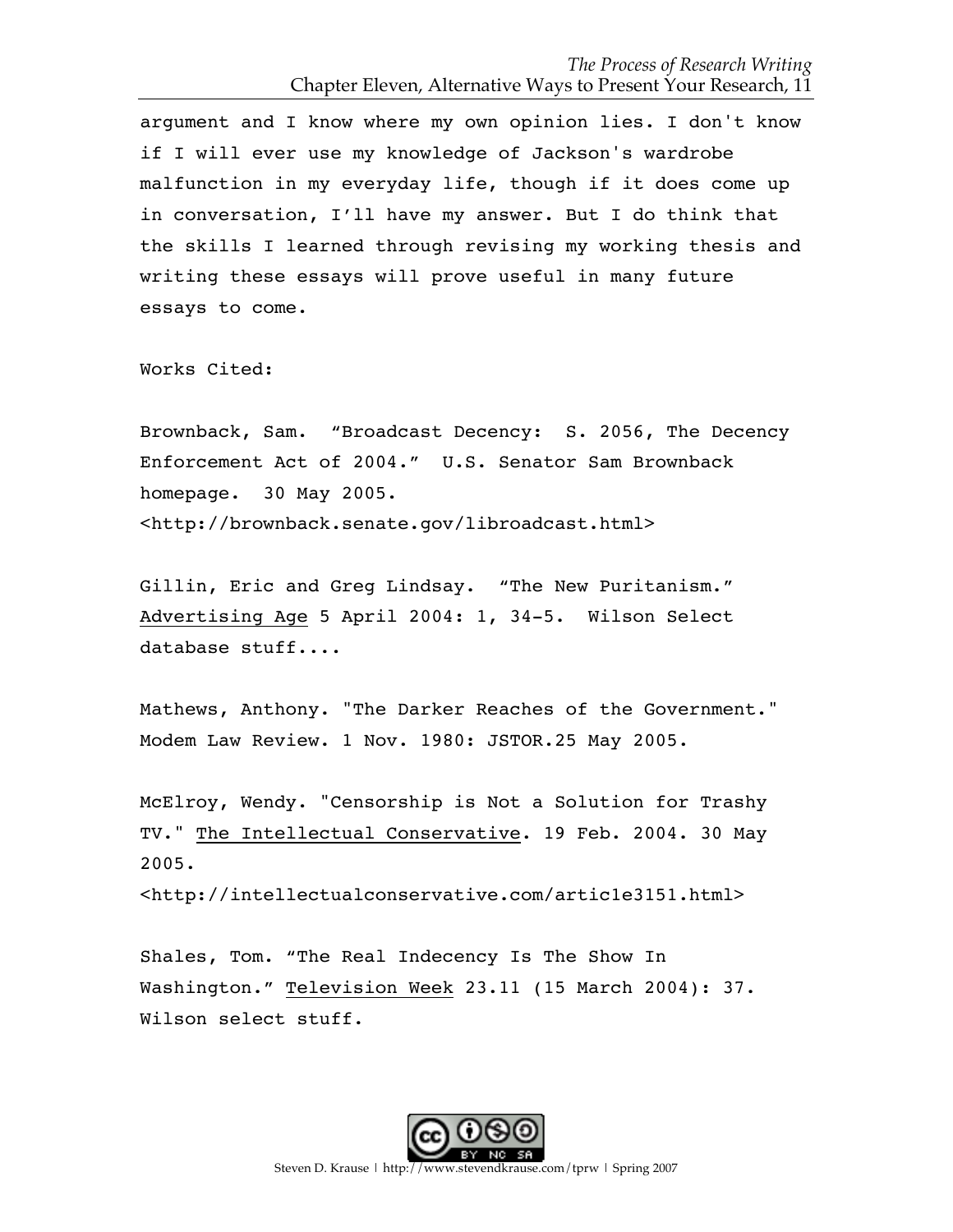argument and I know where my own opinion lies. I don't know if I will ever use my knowledge of Jackson's wardrobe malfunction in my everyday life, though if it does come up in conversation, I'll have my answer. But I do think that the skills I learned through revising my working thesis and writing these essays will prove useful in many future essays to come.

Works Cited:

Brownback, Sam. "Broadcast Decency: S. 2056, The Decency Enforcement Act of 2004." U.S. Senator Sam Brownback homepage. 30 May 2005. <http://brownback.senate.gov/libroadcast.html>

Gillin, Eric and Greg Lindsay. "The New Puritanism." Advertising Age 5 April 2004: 1, 34-5. Wilson Select database stuff....

Mathews, Anthony. "The Darker Reaches of the Government." Modem Law Review. 1 Nov. 1980: JSTOR.25 May 2005.

McElroy, Wendy. "Censorship is Not a Solution for Trashy TV." The Intellectual Conservative. 19 Feb. 2004. 30 May 2005.

<http://intellectualconservative.com/artic1e3151.html>

Shales, Tom. "The Real Indecency Is The Show In Washington." Television Week 23.11 (15 March 2004): 37. Wilson select stuff.

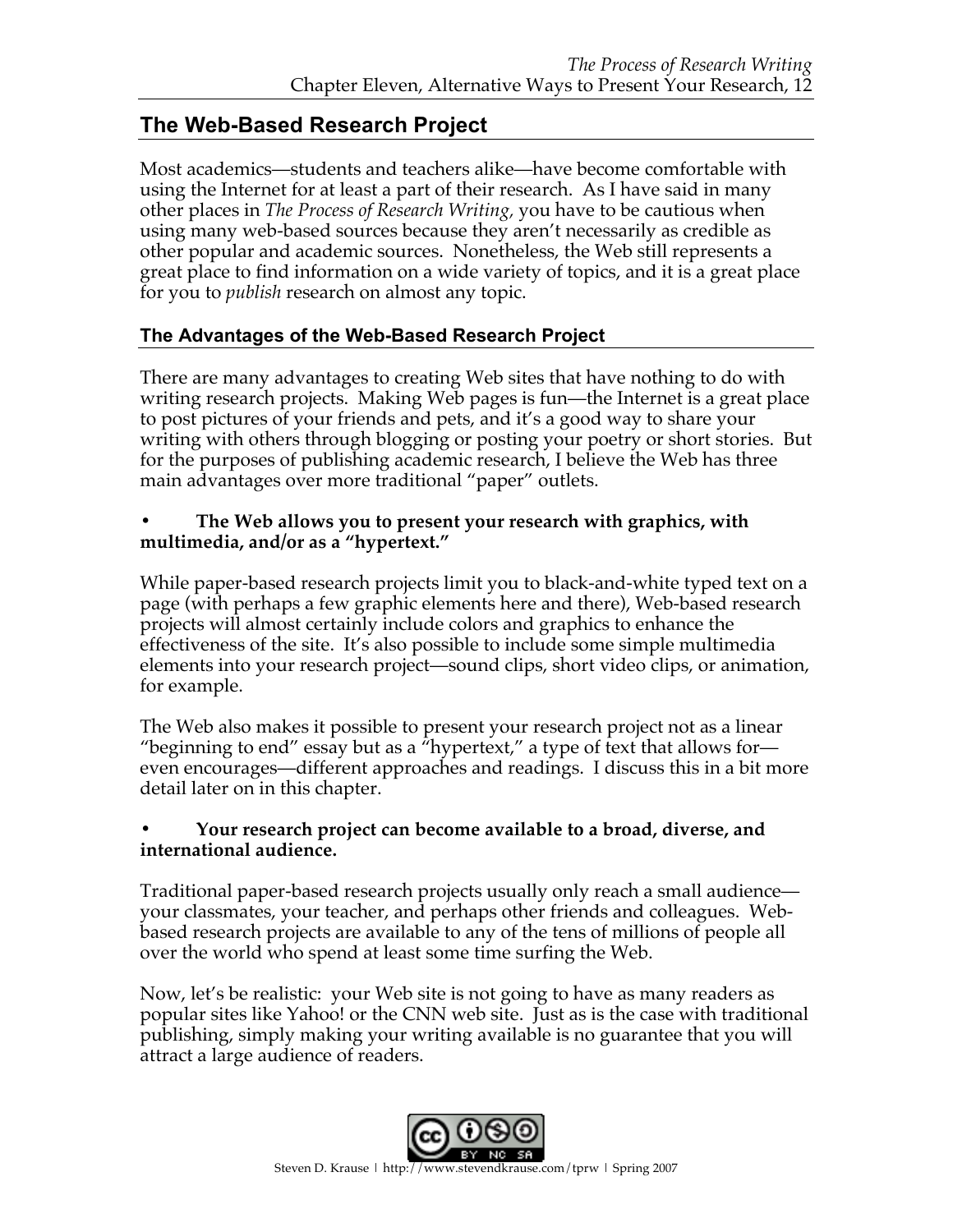# **The Web-Based Research Project**

Most academics—students and teachers alike—have become comfortable with using the Internet for at least a part of their research. As I have said in many other places in *The Process of Research Writing,* you have to be cautious when using many web-based sources because they aren't necessarily as credible as other popular and academic sources. Nonetheless, the Web still represents a great place to find information on a wide variety of topics, and it is a great place for you to *publish* research on almost any topic.

#### **The Advantages of the Web-Based Research Project**

There are many advantages to creating Web sites that have nothing to do with writing research projects. Making Web pages is fun—the Internet is a great place to post pictures of your friends and pets, and it's a good way to share your writing with others through blogging or posting your poetry or short stories. But for the purposes of publishing academic research, I believe the Web has three main advantages over more traditional "paper" outlets.

#### **• The Web allows you to present your research with graphics, with multimedia, and/or as a "hypertext."**

While paper-based research projects limit you to black-and-white typed text on a page (with perhaps a few graphic elements here and there), Web-based research projects will almost certainly include colors and graphics to enhance the effectiveness of the site. It's also possible to include some simple multimedia elements into your research project—sound clips, short video clips, or animation, for example.

The Web also makes it possible to present your research project not as a linear "beginning to end" essay but as a "hypertext," a type of text that allows for even encourages—different approaches and readings. I discuss this in a bit more detail later on in this chapter.

#### **• Your research project can become available to a broad, diverse, and international audience.**

Traditional paper-based research projects usually only reach a small audience your classmates, your teacher, and perhaps other friends and colleagues. Webbased research projects are available to any of the tens of millions of people all over the world who spend at least some time surfing the Web.

Now, let's be realistic: your Web site is not going to have as many readers as popular sites like Yahoo! or the CNN web site. Just as is the case with traditional publishing, simply making your writing available is no guarantee that you will attract a large audience of readers.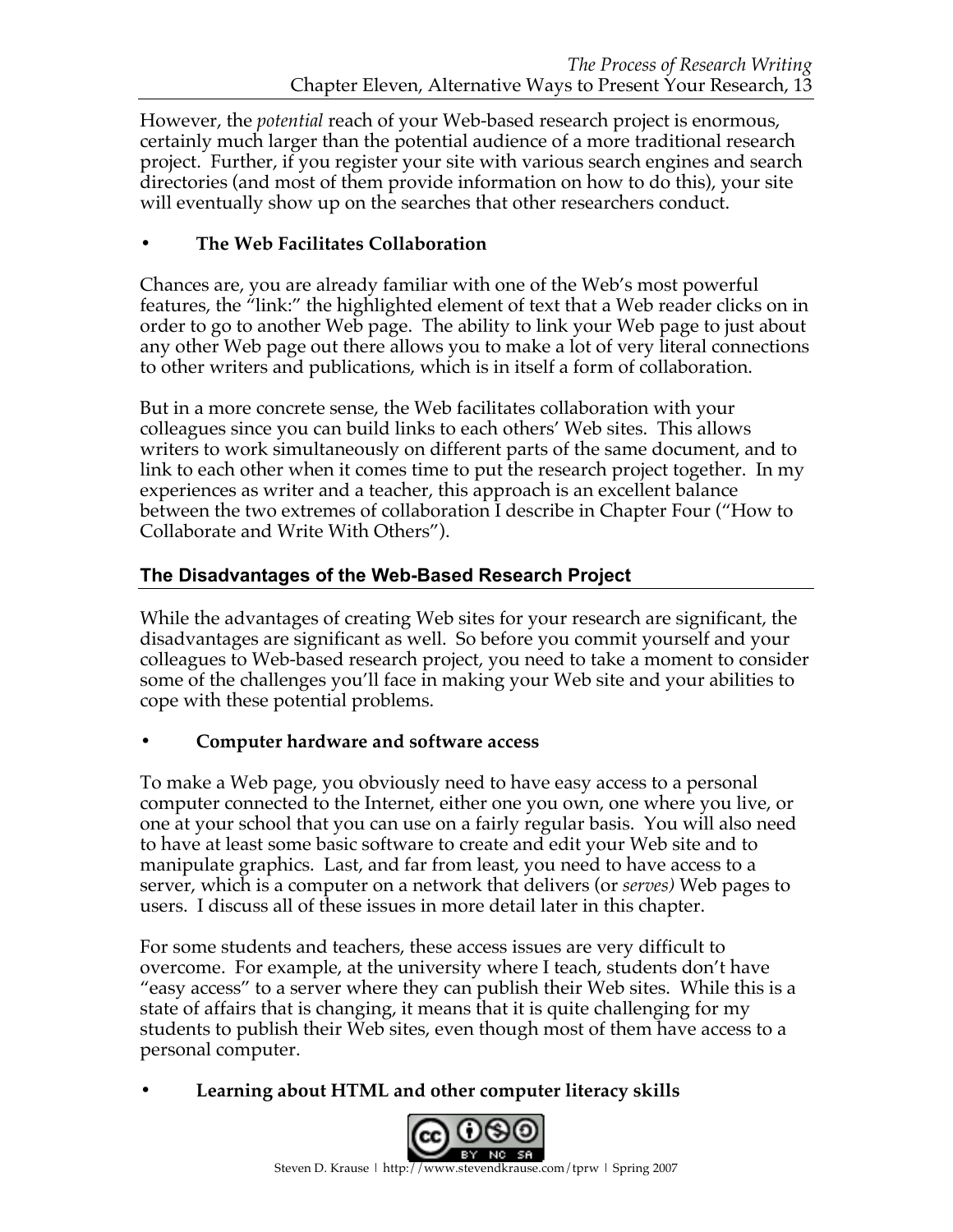However, the *potential* reach of your Web-based research project is enormous, certainly much larger than the potential audience of a more traditional research project. Further, if you register your site with various search engines and search directories (and most of them provide information on how to do this), your site will eventually show up on the searches that other researchers conduct.

## **• The Web Facilitates Collaboration**

Chances are, you are already familiar with one of the Web's most powerful features, the "link:" the highlighted element of text that a Web reader clicks on in order to go to another Web page. The ability to link your Web page to just about any other Web page out there allows you to make a lot of very literal connections to other writers and publications, which is in itself a form of collaboration.

But in a more concrete sense, the Web facilitates collaboration with your colleagues since you can build links to each others' Web sites. This allows writers to work simultaneously on different parts of the same document, and to link to each other when it comes time to put the research project together. In my experiences as writer and a teacher, this approach is an excellent balance between the two extremes of collaboration I describe in Chapter Four ("How to Collaborate and Write With Others").

## **The Disadvantages of the Web-Based Research Project**

While the advantages of creating Web sites for your research are significant, the disadvantages are significant as well. So before you commit yourself and your colleagues to Web-based research project, you need to take a moment to consider some of the challenges you'll face in making your Web site and your abilities to cope with these potential problems.

## **• Computer hardware and software access**

To make a Web page, you obviously need to have easy access to a personal computer connected to the Internet, either one you own, one where you live, or one at your school that you can use on a fairly regular basis. You will also need to have at least some basic software to create and edit your Web site and to manipulate graphics. Last, and far from least, you need to have access to a server, which is a computer on a network that delivers (or *serves)* Web pages to users. I discuss all of these issues in more detail later in this chapter.

For some students and teachers, these access issues are very difficult to overcome. For example, at the university where I teach, students don't have "easy access" to a server where they can publish their Web sites. While this is a state of affairs that is changing, it means that it is quite challenging for my students to publish their Web sites, even though most of them have access to a personal computer.

**• Learning about HTML and other computer literacy skills** 

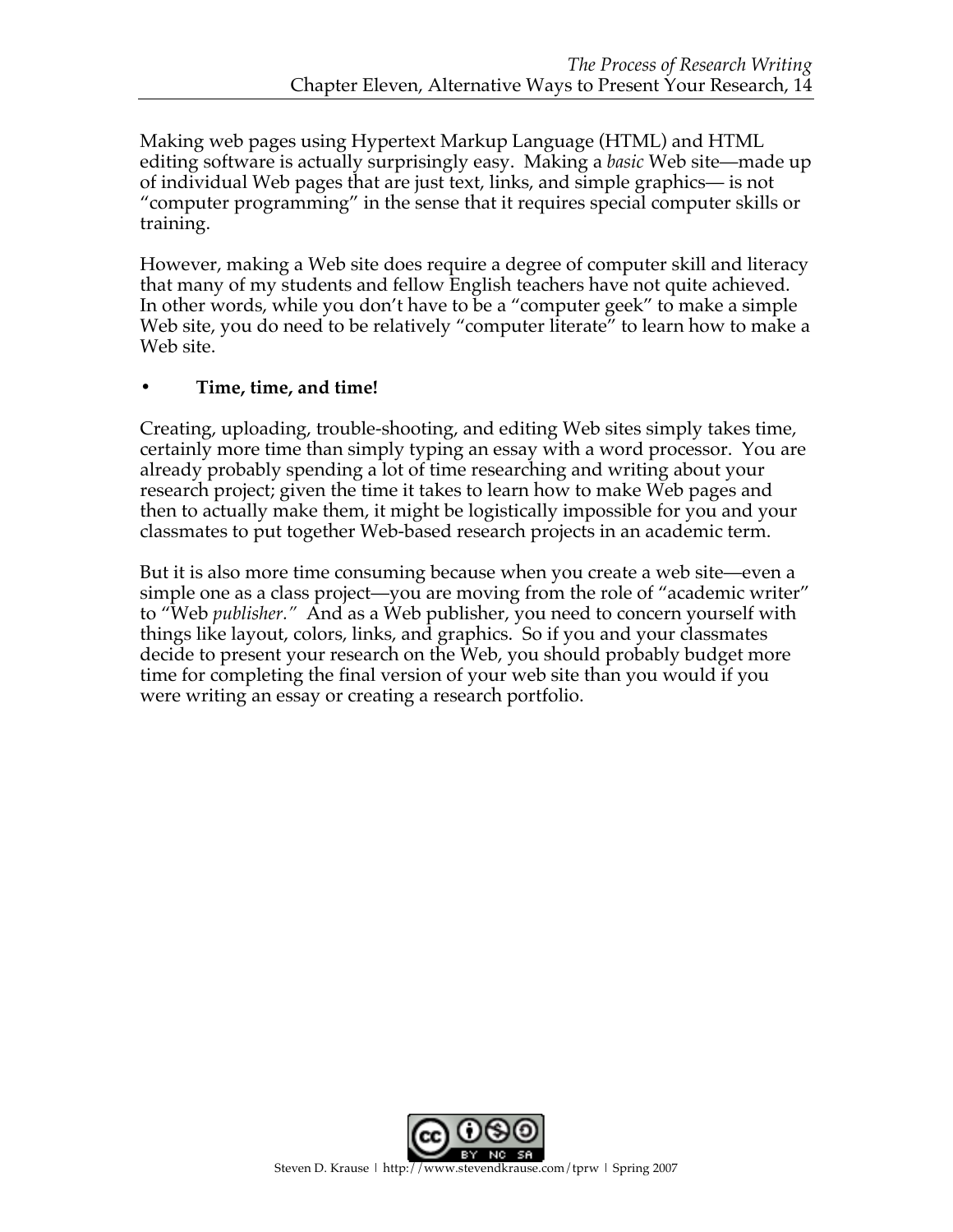Making web pages using Hypertext Markup Language (HTML) and HTML editing software is actually surprisingly easy. Making a *basic* Web site—made up of individual Web pages that are just text, links, and simple graphics— is not "computer programming" in the sense that it requires special computer skills or training.

However, making a Web site does require a degree of computer skill and literacy that many of my students and fellow English teachers have not quite achieved. In other words, while you don't have to be a "computer geek" to make a simple Web site, you do need to be relatively "computer literate" to learn how to make a Web site.

## **• Time, time, and time!**

Creating, uploading, trouble-shooting, and editing Web sites simply takes time, certainly more time than simply typing an essay with a word processor. You are already probably spending a lot of time researching and writing about your research project; given the time it takes to learn how to make Web pages and then to actually make them, it might be logistically impossible for you and your classmates to put together Web-based research projects in an academic term.

But it is also more time consuming because when you create a web site—even a simple one as a class project—you are moving from the role of "academic writer" to "Web *publisher."* And as a Web publisher, you need to concern yourself with things like layout, colors, links, and graphics. So if you and your classmates decide to present your research on the Web, you should probably budget more time for completing the final version of your web site than you would if you were writing an essay or creating a research portfolio.

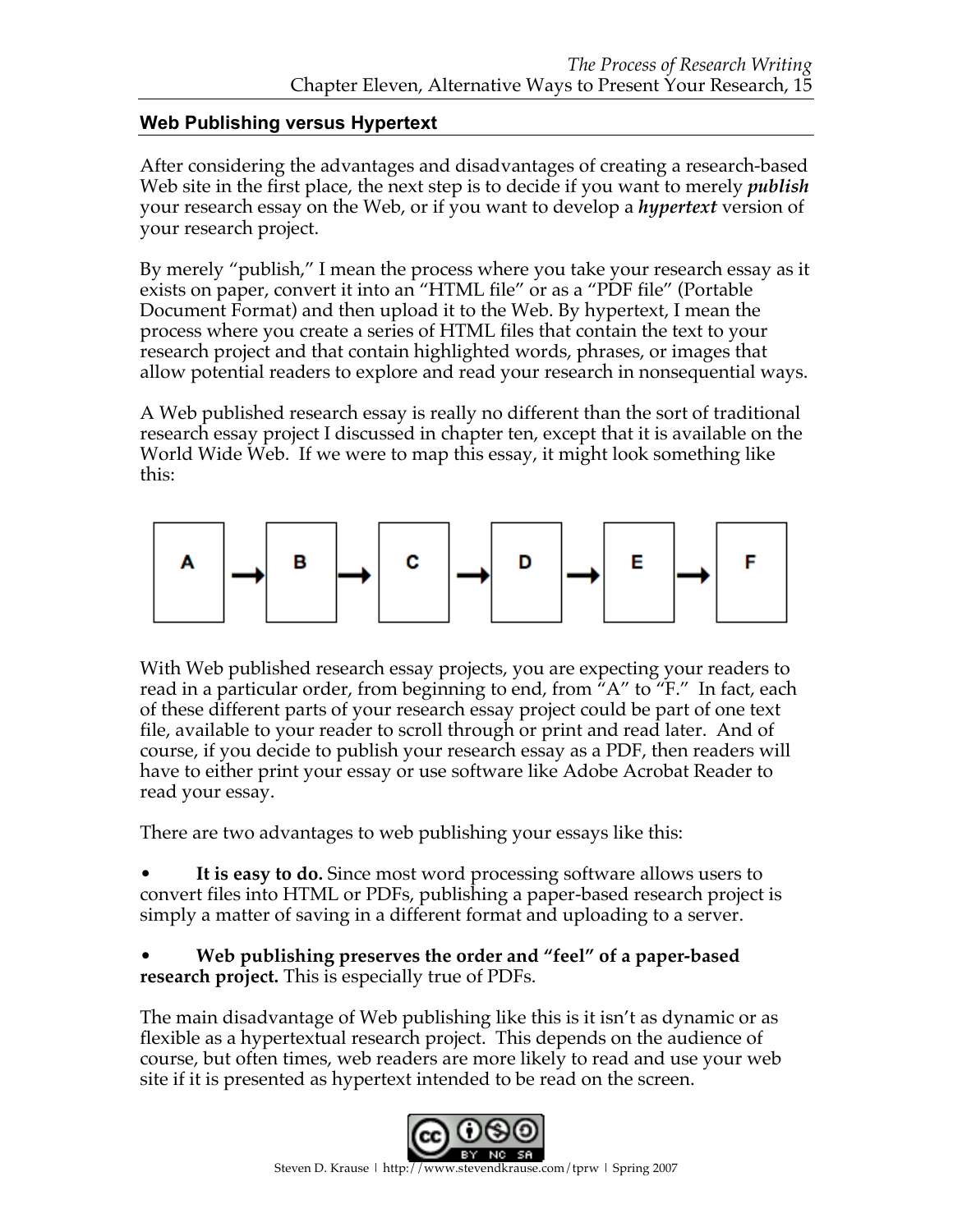## **Web Publishing versus Hypertext**

After considering the advantages and disadvantages of creating a research-based Web site in the first place, the next step is to decide if you want to merely *publish* your research essay on the Web, or if you want to develop a *hypertext* version of your research project.

By merely "publish," I mean the process where you take your research essay as it exists on paper, convert it into an "HTML file" or as a "PDF file" (Portable Document Format) and then upload it to the Web. By hypertext, I mean the process where you create a series of HTML files that contain the text to your research project and that contain highlighted words, phrases, or images that allow potential readers to explore and read your research in nonsequential ways.

A Web published research essay is really no different than the sort of traditional research essay project I discussed in chapter ten, except that it is available on the World Wide Web. If we were to map this essay, it might look something like this:



With Web published research essay projects, you are expecting your readers to read in a particular order, from beginning to end, from "A" to "F." In fact, each of these different parts of your research essay project could be part of one text file, available to your reader to scroll through or print and read later. And of course, if you decide to publish your research essay as a PDF, then readers will have to either print your essay or use software like Adobe Acrobat Reader to read your essay.

There are two advantages to web publishing your essays like this:

It is easy to do. Since most word processing software allows users to convert files into HTML or PDFs, publishing a paper-based research project is simply a matter of saving in a different format and uploading to a server.

• **Web publishing preserves the order and "feel" of a paper-based research project.** This is especially true of PDFs.

The main disadvantage of Web publishing like this is it isn't as dynamic or as flexible as a hypertextual research project. This depends on the audience of course, but often times, web readers are more likely to read and use your web site if it is presented as hypertext intended to be read on the screen.

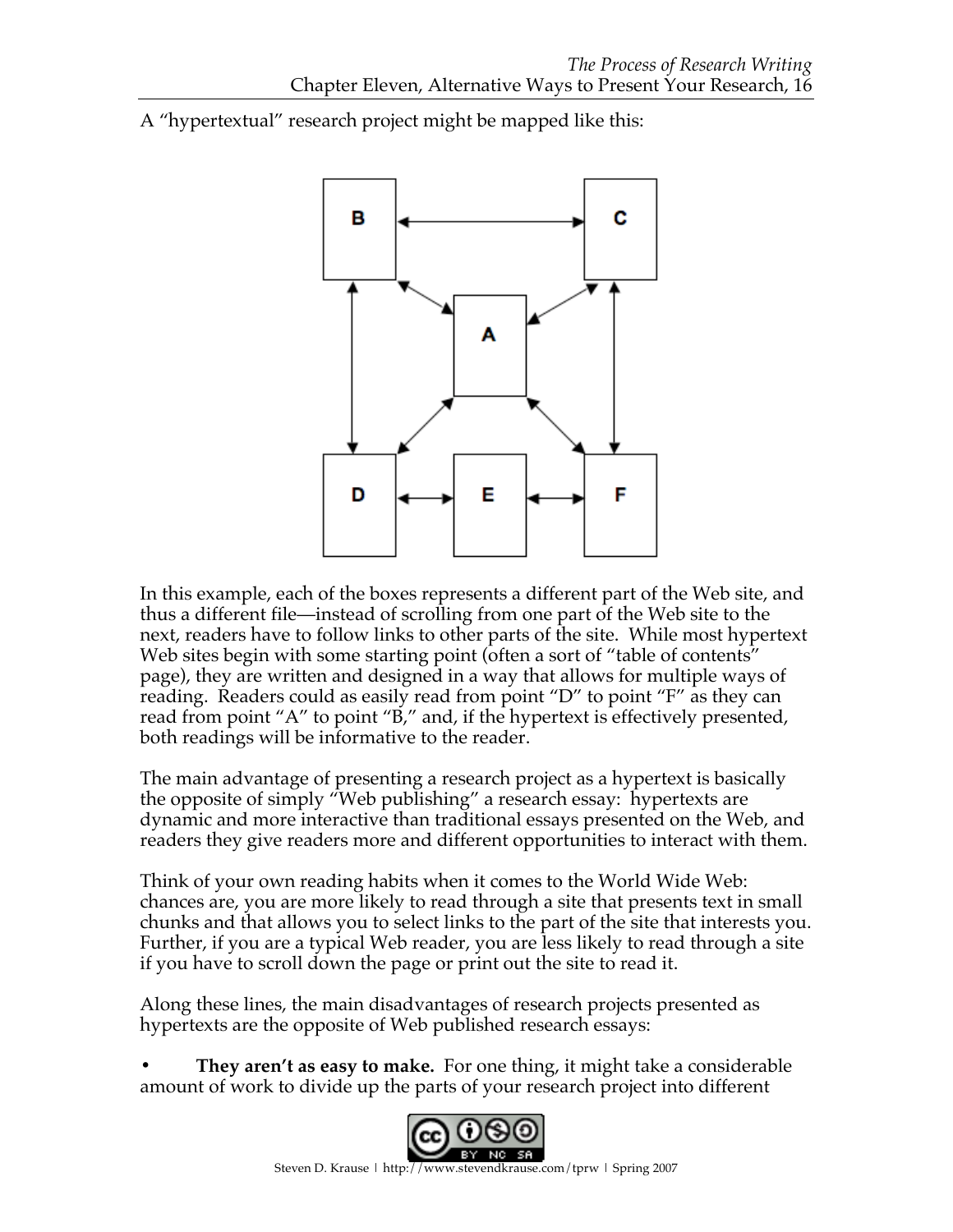A "hypertextual" research project might be mapped like this:



In this example, each of the boxes represents a different part of the Web site, and thus a different file—instead of scrolling from one part of the Web site to the next, readers have to follow links to other parts of the site. While most hypertext Web sites begin with some starting point (often a sort of "table of contents" page), they are written and designed in a way that allows for multiple ways of reading. Readers could as easily read from point "D" to point "F" as they can read from point "A" to point "B," and, if the hypertext is effectively presented, both readings will be informative to the reader.

The main advantage of presenting a research project as a hypertext is basically the opposite of simply "Web publishing" a research essay: hypertexts are dynamic and more interactive than traditional essays presented on the Web, and readers they give readers more and different opportunities to interact with them.

Think of your own reading habits when it comes to the World Wide Web: chances are, you are more likely to read through a site that presents text in small chunks and that allows you to select links to the part of the site that interests you. Further, if you are a typical Web reader, you are less likely to read through a site if you have to scroll down the page or print out the site to read it.

Along these lines, the main disadvantages of research projects presented as hypertexts are the opposite of Web published research essays:

**• They aren't as easy to make.** For one thing, it might take a considerable amount of work to divide up the parts of your research project into different

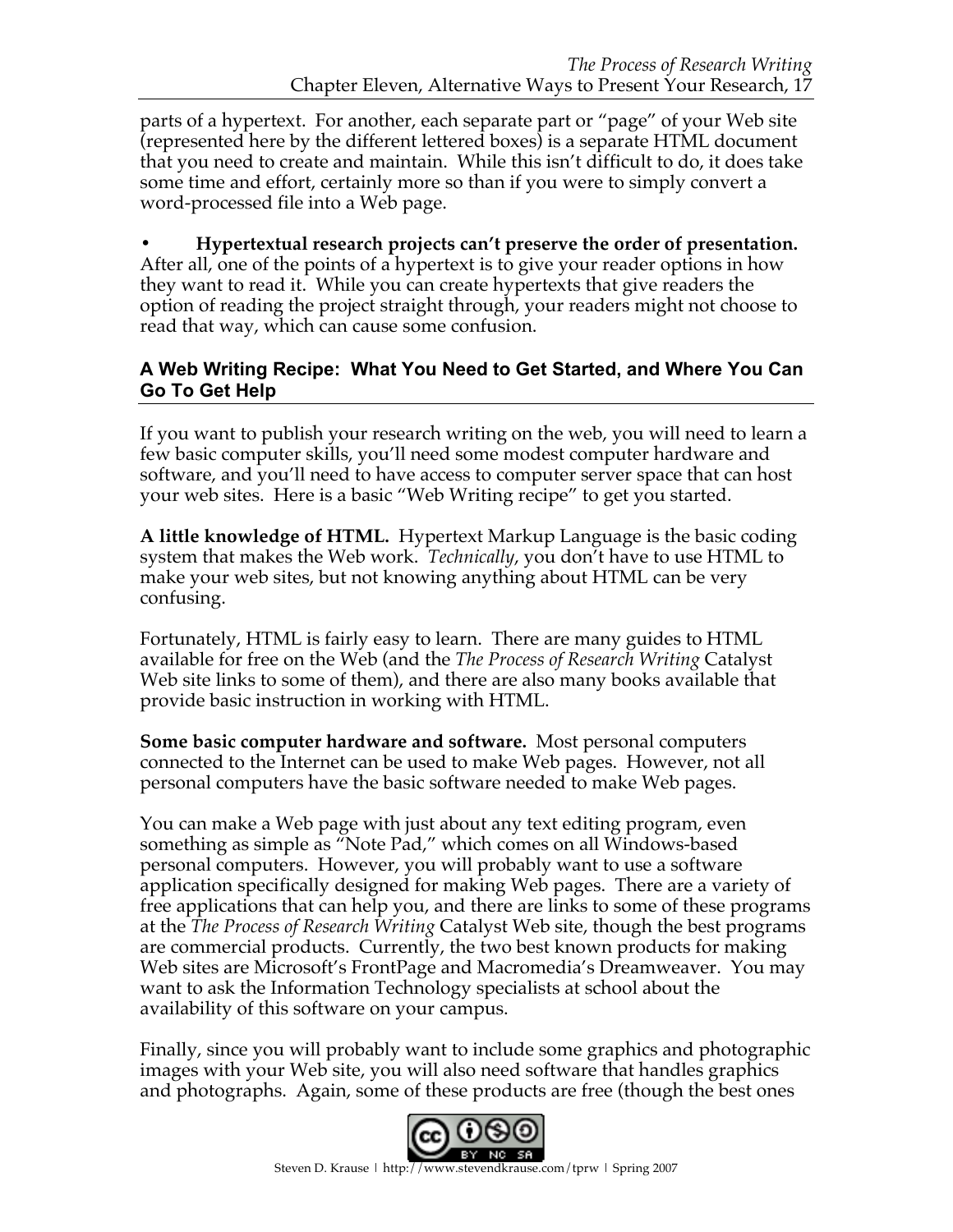parts of a hypertext. For another, each separate part or "page" of your Web site (represented here by the different lettered boxes) is a separate HTML document that you need to create and maintain. While this isn't difficult to do, it does take some time and effort, certainly more so than if you were to simply convert a word-processed file into a Web page.

**• Hypertextual research projects can't preserve the order of presentation.**  After all, one of the points of a hypertext is to give your reader options in how they want to read it. While you can create hypertexts that give readers the option of reading the project straight through, your readers might not choose to read that way, which can cause some confusion.

## **A Web Writing Recipe: What You Need to Get Started, and Where You Can Go To Get Help**

If you want to publish your research writing on the web, you will need to learn a few basic computer skills, you'll need some modest computer hardware and software, and you'll need to have access to computer server space that can host your web sites. Here is a basic "Web Writing recipe" to get you started.

**A little knowledge of HTML.** Hypertext Markup Language is the basic coding system that makes the Web work. *Technically*, you don't have to use HTML to make your web sites, but not knowing anything about HTML can be very confusing.

Fortunately, HTML is fairly easy to learn. There are many guides to HTML available for free on the Web (and the *The Process of Research Writing* Catalyst Web site links to some of them), and there are also many books available that provide basic instruction in working with HTML.

**Some basic computer hardware and software.** Most personal computers connected to the Internet can be used to make Web pages. However, not all personal computers have the basic software needed to make Web pages.

You can make a Web page with just about any text editing program, even something as simple as "Note Pad," which comes on all Windows-based personal computers. However, you will probably want to use a software application specifically designed for making Web pages. There are a variety of free applications that can help you, and there are links to some of these programs at the *The Process of Research Writing* Catalyst Web site, though the best programs are commercial products. Currently, the two best known products for making Web sites are Microsoft's FrontPage and Macromedia's Dreamweaver. You may want to ask the Information Technology specialists at school about the availability of this software on your campus.

Finally, since you will probably want to include some graphics and photographic images with your Web site, you will also need software that handles graphics and photographs. Again, some of these products are free (though the best ones

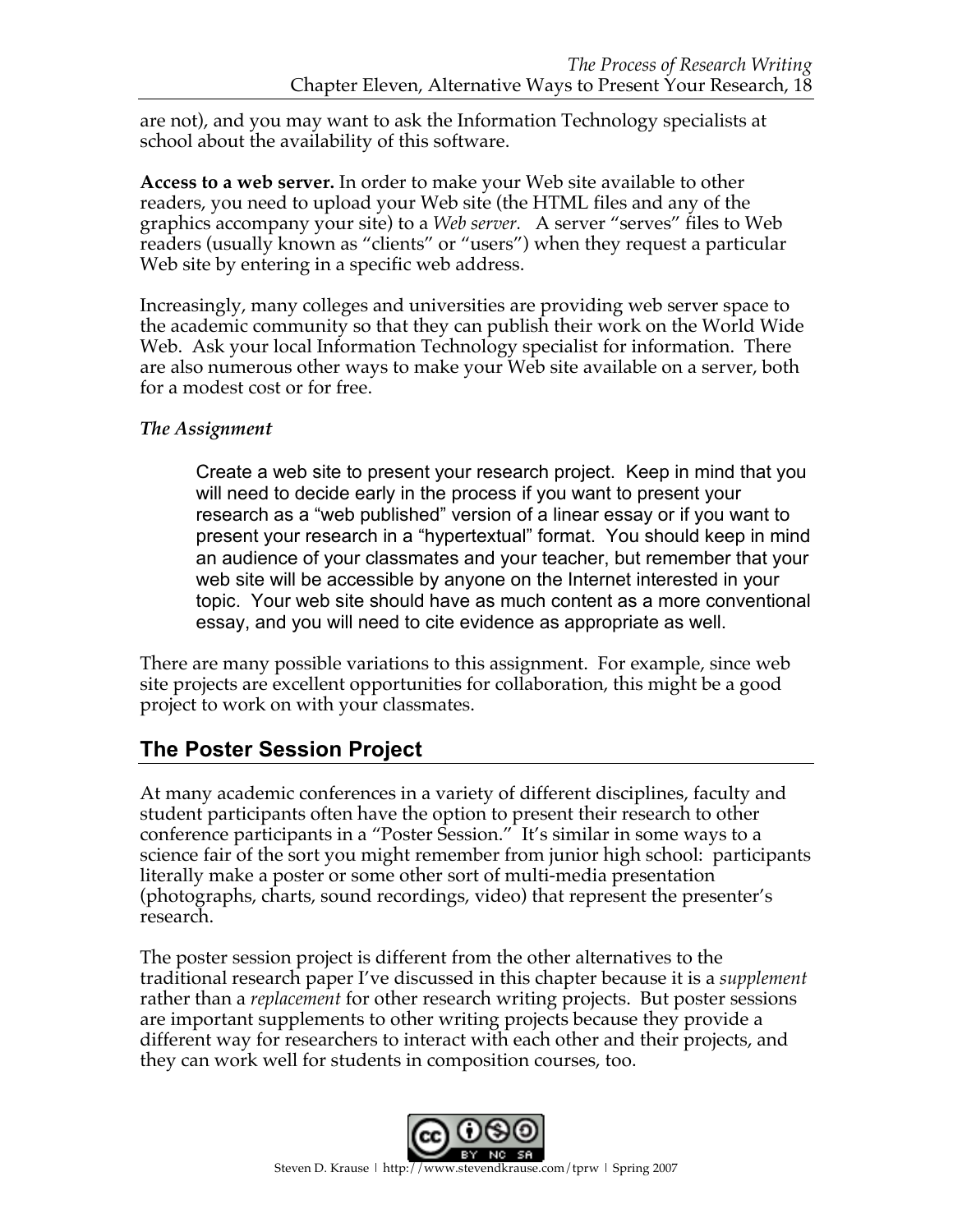are not), and you may want to ask the Information Technology specialists at school about the availability of this software.

**Access to a web server.** In order to make your Web site available to other readers, you need to upload your Web site (the HTML files and any of the graphics accompany your site) to a *Web server.* A server "serves" files to Web readers (usually known as "clients" or "users") when they request a particular Web site by entering in a specific web address.

Increasingly, many colleges and universities are providing web server space to the academic community so that they can publish their work on the World Wide Web. Ask your local Information Technology specialist for information. There are also numerous other ways to make your Web site available on a server, both for a modest cost or for free.

## *The Assignment*

Create a web site to present your research project. Keep in mind that you will need to decide early in the process if you want to present your research as a "web published" version of a linear essay or if you want to present your research in a "hypertextual" format. You should keep in mind an audience of your classmates and your teacher, but remember that your web site will be accessible by anyone on the Internet interested in your topic. Your web site should have as much content as a more conventional essay, and you will need to cite evidence as appropriate as well.

There are many possible variations to this assignment. For example, since web site projects are excellent opportunities for collaboration, this might be a good project to work on with your classmates.

# **The Poster Session Project**

At many academic conferences in a variety of different disciplines, faculty and student participants often have the option to present their research to other conference participants in a "Poster Session." It's similar in some ways to a science fair of the sort you might remember from junior high school: participants literally make a poster or some other sort of multi-media presentation (photographs, charts, sound recordings, video) that represent the presenter's research.

The poster session project is different from the other alternatives to the traditional research paper I've discussed in this chapter because it is a *supplement* rather than a *replacement* for other research writing projects. But poster sessions are important supplements to other writing projects because they provide a different way for researchers to interact with each other and their projects, and they can work well for students in composition courses, too.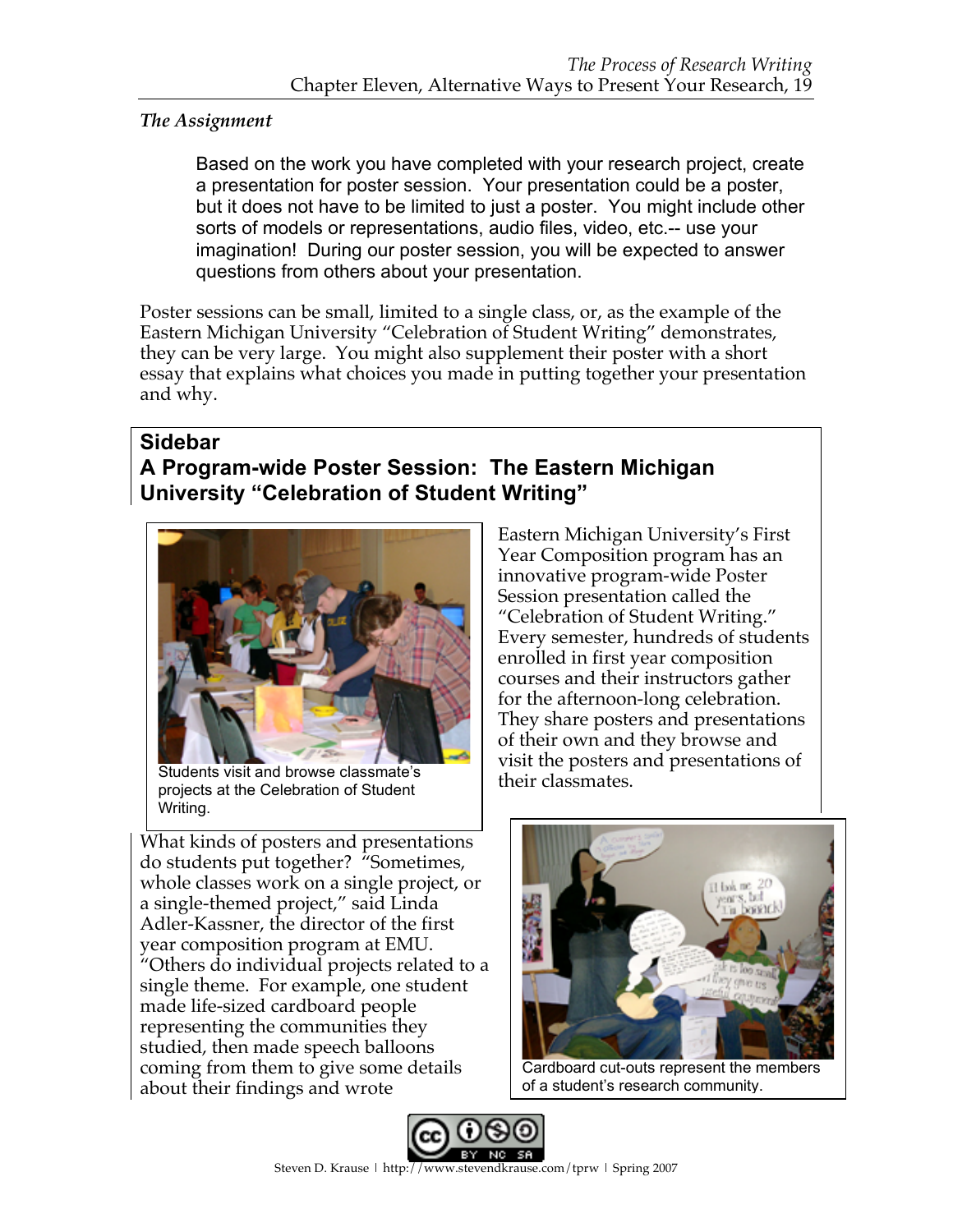## *The Assignment*

Based on the work you have completed with your research project, create a presentation for poster session. Your presentation could be a poster, but it does not have to be limited to just a poster. You might include other sorts of models or representations, audio files, video, etc.-- use your imagination! During our poster session, you will be expected to answer questions from others about your presentation.

Poster sessions can be small, limited to a single class, or, as the example of the Eastern Michigan University "Celebration of Student Writing" demonstrates, they can be very large. You might also supplement their poster with a short essay that explains what choices you made in putting together your presentation and why.

# **Sidebar A Program-wide Poster Session: The Eastern Michigan University "Celebration of Student Writing"**



Students visit and browse classmate's projects at the Celebration of Student Writing.

What kinds of posters and presentations do students put together? "Sometimes, whole classes work on a single project, or a single-themed project," said Linda Adler-Kassner, the director of the first year composition program at EMU. "Others do individual projects related to a single theme. For example, one student made life-sized cardboard people representing the communities they studied, then made speech balloons coming from them to give some details about their findings and wrote

Eastern Michigan University's First Year Composition program has an innovative program-wide Poster Session presentation called the "Celebration of Student Writing." Every semester, hundreds of students enrolled in first year composition courses and their instructors gather for the afternoon-long celebration. They share posters and presentations of their own and they browse and visit the posters and presentations of their classmates.



Cardboard cut-outs represent the members of a student's research community.